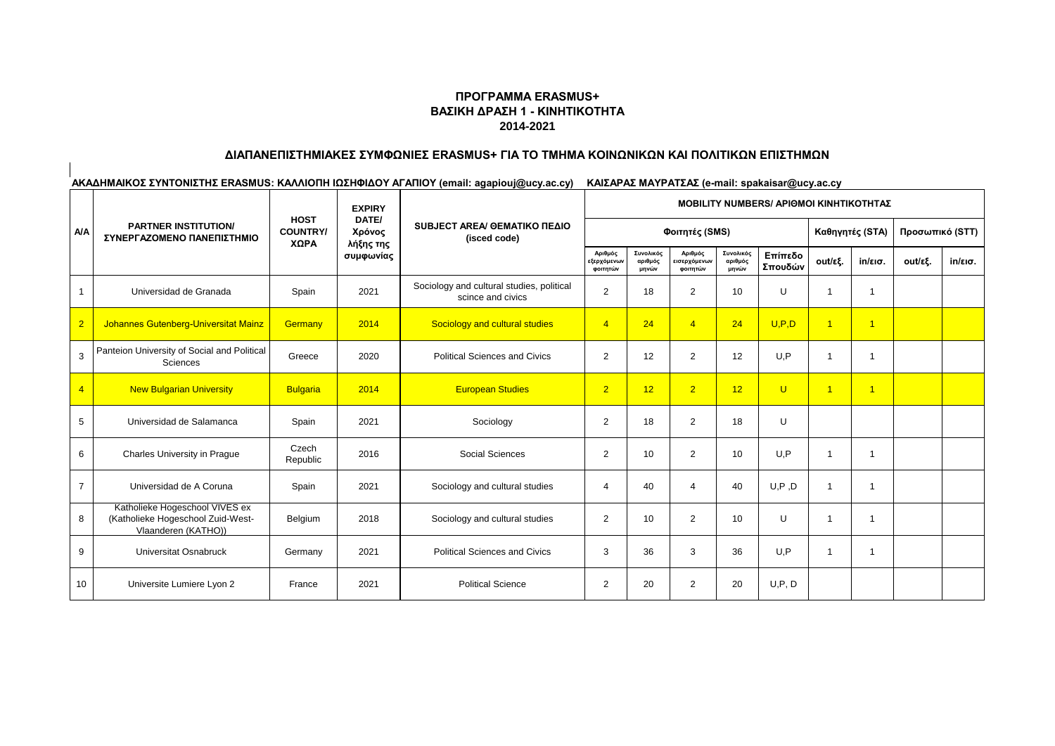## **ΠΡΟΓΡΑΜΜΑ ERASMUS+ ΒΑΣΙΚΗ ΔΡΑΣΗ 1 - ΚΙΝΗΤΙΚΟΤΗΤΑ 2014-2021**

# **ΔΙΑΠΑΝΕΠΙΣΤΗΜΙΑΚΕΣ ΣΥΜΦΩΝΙΕΣ ERASMUS+ ΓΙΑ ΤΟ ΤΜΗΜΑ ΚΟΙΝΩΝΙΚΩΝ ΚΑΙ ΠΟΛΙΤΙΚΩΝ ΕΠΙΣΤΗΜΩΝ**

|                |                                                                                            |                                        | <b>EXPIRY</b>                             |                                                                |                                    |                               |                                     |                               |                    | <b>ΜΟΒΙLITY NUMBERS/ ΑΡΙΘΜΟΙ ΚΙΝΗΤΙΚΟΤΗΤΑΣ</b> |                   |                 |                   |
|----------------|--------------------------------------------------------------------------------------------|----------------------------------------|-------------------------------------------|----------------------------------------------------------------|------------------------------------|-------------------------------|-------------------------------------|-------------------------------|--------------------|------------------------------------------------|-------------------|-----------------|-------------------|
| <b>A/A</b>     | <b>PARTNER INSTITUTION/</b><br>ΣΥΝΕΡΓΑΖΟΜΕΝΟ ΠΑΝΕΠΙΣΤΗΜΙΟ                                  | <b>HOST</b><br><b>COUNTRY/</b><br>ΧΩΡΑ | DATE/<br>Χρόνος<br>λήξης της<br>συμφωνίας | SUBJECT AREA/ OEMATIKO ΠΕΔΙΟ<br>(isced code)                   |                                    |                               | Φοιτητές (SMS)                      |                               |                    | Καθηγητές (STA)                                |                   | Προσωπικό (STT) |                   |
|                |                                                                                            |                                        |                                           |                                                                | Αριθμός<br>εξερχόμενων<br>φοιτητών | Συνολικός<br>αριθμός<br>μηνών | Αριθμός<br>εισερχόμενων<br>φοιτητών | Συνολικός<br>αριθμός<br>μηνών | Επίπεδο<br>Σπουδών | out/εξ.                                        | $in/\epsilon$ ισ. | out/εξ.         | $in/\epsilon$ ισ. |
| $\mathbf{1}$   | Universidad de Granada                                                                     | Spain                                  | 2021                                      | Sociology and cultural studies, political<br>scince and civics | $\overline{2}$                     | 18                            | $\overline{2}$                      | 10                            | U                  | $\overline{1}$                                 | -1                |                 |                   |
| $\overline{2}$ | Johannes Gutenberg-Universitat Mainz                                                       | Germany                                | 2014                                      | Sociology and cultural studies                                 | $\overline{4}$                     | 24                            | $\overline{4}$                      | 24                            | U.P.D              | $\overline{1}$                                 | $\overline{1}$    |                 |                   |
| 3              | Panteion University of Social and Political<br>Sciences                                    | Greece                                 | 2020                                      | <b>Political Sciences and Civics</b>                           | $\overline{2}$                     | 12                            | $\overline{2}$                      | 12                            | U,P                | $\overline{1}$                                 | -1                |                 |                   |
| $\overline{4}$ | <b>New Bulgarian University</b>                                                            | <b>Bulgaria</b>                        | 2014                                      | <b>European Studies</b>                                        | 2 <sup>1</sup>                     | 12                            | 2 <sup>1</sup>                      | 12                            | $\cup$             | $\overline{1}$                                 | $\overline{1}$    |                 |                   |
| 5              | Universidad de Salamanca                                                                   | Spain                                  | 2021                                      | Sociology                                                      | $\overline{2}$                     | 18                            | $\overline{2}$                      | 18                            | U                  |                                                |                   |                 |                   |
| 6              | Charles University in Prague                                                               | Czech<br>Republic                      | 2016                                      | Social Sciences                                                | 2                                  | 10                            | $\overline{2}$                      | 10                            | U, P               | $\overline{1}$                                 | $\overline{1}$    |                 |                   |
| $\overline{7}$ | Universidad de A Coruna                                                                    | Spain                                  | 2021                                      | Sociology and cultural studies                                 | 4                                  | 40                            | 4                                   | 40                            | U, P, D            | $\overline{1}$                                 | -1                |                 |                   |
| 8              | Katholieke Hogeschool VIVES ex<br>(Katholieke Hogeschool Zuid-West-<br>Vlaanderen (KATHO)) | Belgium                                | 2018                                      | Sociology and cultural studies                                 | $\overline{2}$                     | 10                            | $\overline{2}$                      | 10                            | U                  | $\overline{1}$                                 | $\overline{1}$    |                 |                   |
| 9              | <b>Universitat Osnabruck</b>                                                               | Germany                                | 2021                                      | <b>Political Sciences and Civics</b>                           | 3                                  | 36                            | 3                                   | 36                            | U, P               | $\overline{1}$                                 | -1                |                 |                   |
| 10             | Universite Lumiere Lyon 2                                                                  | France                                 | 2021                                      | <b>Political Science</b>                                       | 2                                  | 20                            | 2                                   | 20                            | U, P, D            |                                                |                   |                 |                   |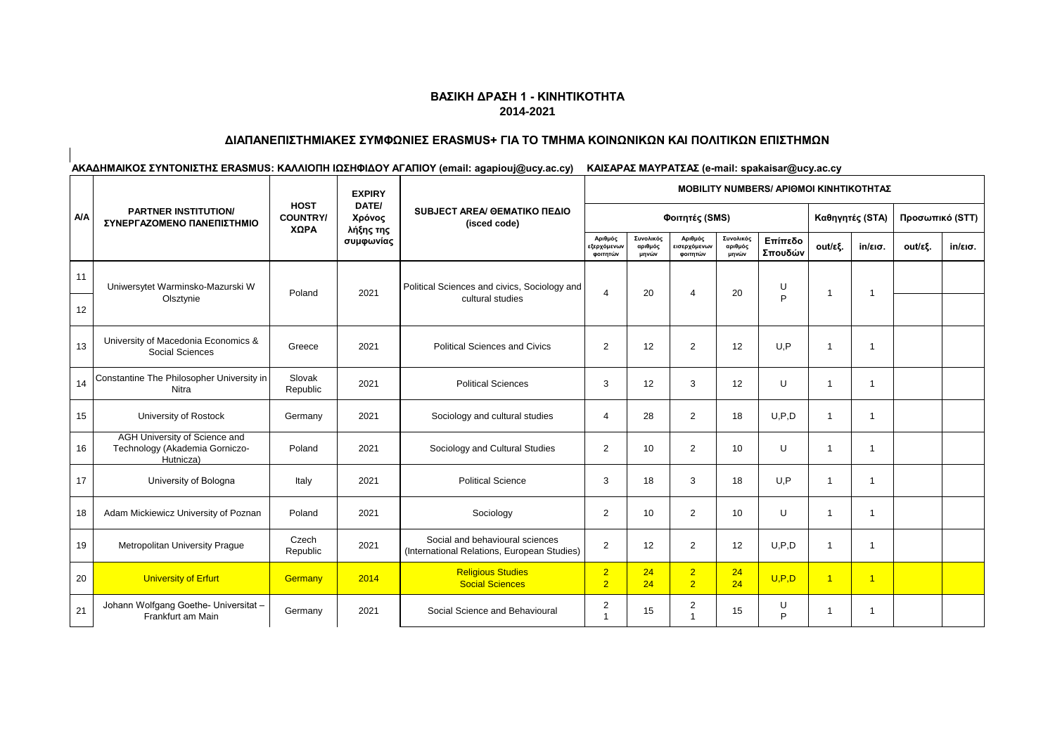### **ΔΙΑΠΑΝΕΠΙΣΤΗΜΙΑΚΕΣ ΣΥΜΦΩΝΙΕΣ ERASMUS+ ΓΙΑ ΤΟ ΤΜΗΜΑ ΚΟΙΝΩΝΙΚΩΝ ΚΑΙ ΠΟΛΙΤΙΚΩΝ ΕΠΙΣΤΗΜΩΝ**

|            |                                                                              |                                        | <b>EXPIRY</b>                             |                                                                                |                                    | <b>MOBILITY NUMBERS/ APIOMOI KINHTIKOTHTAZ</b> |                                            |                               |                    |                |                   |                 |                   |  |  |
|------------|------------------------------------------------------------------------------|----------------------------------------|-------------------------------------------|--------------------------------------------------------------------------------|------------------------------------|------------------------------------------------|--------------------------------------------|-------------------------------|--------------------|----------------|-------------------|-----------------|-------------------|--|--|
| <b>A/A</b> | <b>PARTNER INSTITUTION/</b><br>ΣΥΝΕΡΓΑΖΟΜΕΝΟ ΠΑΝΕΠΙΣΤΗΜΙΟ                    | <b>HOST</b><br><b>COUNTRY/</b><br>ΧΩΡΑ | DATE/<br>Χρόνος<br>λήξης της<br>συμφωνίας | SUBJECT AREA/ GEMATIKO ΠΕΔΙΟ<br>(isced code)                                   |                                    |                                                | Φοιτητές (SMS)                             |                               |                    |                | Καθηγητές (STA)   | Προσωπικό (STT) |                   |  |  |
|            |                                                                              |                                        |                                           |                                                                                | Αριθμός<br>εξερχόμενων<br>φοιτητών | Συνολικός<br>αριθμός<br>μηνών                  | Αριθμός<br><b>εισερχόμενων</b><br>φοιτητών | Συνολικός<br>αριθμός<br>μηνών | Επίπεδο<br>Σπουδών | out/εξ.        | $in/\epsilon$ ισ. | out/εξ.         | $in/\epsilon$ ισ. |  |  |
| 11         | Uniwersytet Warminsko-Mazurski W                                             |                                        |                                           | Political Sciences and civics, Sociology and                                   |                                    |                                                | 20<br>4                                    | 20                            | U<br>P             | -1             |                   |                 |                   |  |  |
| 12         | Olsztynie                                                                    | Poland                                 | 2021                                      | cultural studies                                                               | $\overline{4}$                     |                                                |                                            |                               |                    |                | $\overline{1}$    |                 |                   |  |  |
| 13         | University of Macedonia Economics &<br>Social Sciences                       | Greece                                 | 2021                                      | <b>Political Sciences and Civics</b>                                           | 2                                  | 12                                             | $\overline{2}$                             | 12                            | U, P               | -1             | $\overline{1}$    |                 |                   |  |  |
| 14         | Constantine The Philosopher University in<br>Nitra                           | Slovak<br>Republic                     | 2021                                      | <b>Political Sciences</b>                                                      | 3                                  | 12                                             | 3                                          | 12                            | U                  | $\overline{1}$ | 1                 |                 |                   |  |  |
| 15         | University of Rostock                                                        | Germany                                | 2021                                      | Sociology and cultural studies                                                 | 4                                  | 28                                             | $\overline{2}$                             | 18                            | U.P.D              | $\mathbf{1}$   | $\mathbf{1}$      |                 |                   |  |  |
| 16         | AGH University of Science and<br>Technology (Akademia Gorniczo-<br>Hutnicza) | Poland                                 | 2021                                      | Sociology and Cultural Studies                                                 | 2                                  | 10                                             | $\overline{2}$                             | 10                            | U                  | -1             | $\overline{1}$    |                 |                   |  |  |
| 17         | University of Bologna                                                        | Italy                                  | 2021                                      | <b>Political Science</b>                                                       | 3                                  | 18                                             | 3                                          | 18                            | U, P               | $\mathbf 1$    | $\overline{1}$    |                 |                   |  |  |
| 18         | Adam Mickiewicz University of Poznan                                         | Poland                                 | 2021                                      | Sociology                                                                      | 2                                  | 10                                             | $\overline{2}$                             | 10                            | U                  | $\mathbf{1}$   | $\mathbf{1}$      |                 |                   |  |  |
| 19         | <b>Metropolitan University Prague</b>                                        | Czech<br>Republic                      | 2021                                      | Social and behavioural sciences<br>(International Relations, European Studies) | 2                                  | 12                                             | $\overline{2}$                             | 12                            | U.P.D              | $\mathbf 1$    | $\overline{1}$    |                 |                   |  |  |
| 20         | <b>University of Erfurt</b>                                                  | Germany                                | 2014                                      | <b>Religious Studies</b><br><b>Social Sciences</b>                             | 2 <sup>1</sup><br>2 <sup>1</sup>   | 24<br>24                                       | 2 <sup>1</sup><br>2 <sup>1</sup>           | 24<br>24                      | U.P.D              | $\overline{1}$ | $\overline{1}$    |                 |                   |  |  |
| 21         | Johann Wolfgang Goethe- Universitat -<br>Frankfurt am Main                   | Germany                                | 2021                                      | Social Science and Behavioural                                                 | $\overline{c}$                     | 15                                             | $\overline{c}$                             | 15                            | U<br>P             | -1             | $\mathbf{1}$      |                 |                   |  |  |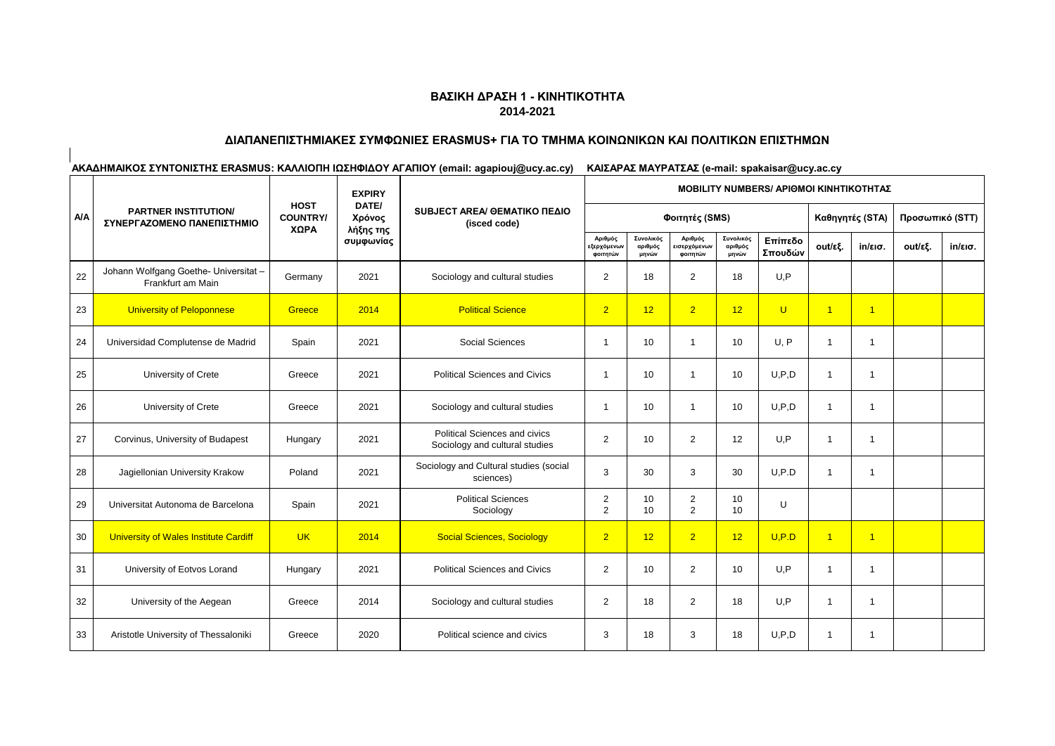### **ΔΙΑΠΑΝΕΠΙΣΤΗΜΙΑΚΕΣ ΣΥΜΦΩΝΙΕΣ ERASMUS+ ΓΙΑ ΤΟ ΤΜΗΜΑ ΚΟΙΝΩΝΙΚΩΝ ΚΑΙ ΠΟΛΙΤΙΚΩΝ ΕΠΙΣΤΗΜΩΝ**

|            |                                                            |                                        | <b>EXPIRY</b>                             | SUBJECT AREA/ OEMATIKO ΠΕΔΙΟ<br>(isced code)                           | <b>MOBILITY NUMBERS/ APIOMOI KINHTIKOTHTAΣ</b> |                               |                                    |                               |                    |                 |                   |         |         |  |
|------------|------------------------------------------------------------|----------------------------------------|-------------------------------------------|------------------------------------------------------------------------|------------------------------------------------|-------------------------------|------------------------------------|-------------------------------|--------------------|-----------------|-------------------|---------|---------|--|
| <b>A/A</b> | <b>PARTNER INSTITUTION/</b><br>ΣΥΝΕΡΓΑΖΟΜΕΝΟ ΠΑΝΕΠΙΣΤΗΜΙΟ  | <b>HOST</b><br><b>COUNTRY/</b><br>ΧΩΡΑ | DATE/<br>Χρόνος<br>λήξης της<br>συμφωνίας |                                                                        |                                                |                               | Φοιτητές (SMS)                     |                               |                    | Καθηγητές (STA) | Προσωπικό (STT)   |         |         |  |
|            |                                                            |                                        |                                           |                                                                        | Αριθμός<br><b>εξερχόμενων</b><br>φοιτητών      | Συνολικός<br>αριθμός<br>μηνών | Αριθμός<br>ισερχόμενων<br>φοιτητών | Συνολικός<br>αριθμός<br>μηνών | Επίπεδο<br>Σπουδών | out/εξ.         | $in/\epsilon$ ισ. | out/εξ. | in/εισ. |  |
| 22         | Johann Wolfgang Goethe- Universitat -<br>Frankfurt am Main | Germany                                | 2021                                      | Sociology and cultural studies                                         | 2                                              | 18                            | $\overline{2}$                     | 18                            | U, P               |                 |                   |         |         |  |
| 23         | University of Peloponnese                                  | Greece                                 | 2014                                      | <b>Political Science</b>                                               | 2 <sup>1</sup>                                 | 12                            | 2 <sup>1</sup>                     | 12                            | $\cup$             | $\overline{1}$  | $\overline{1}$    |         |         |  |
| 24         | Universidad Complutense de Madrid                          | Spain                                  | 2021                                      | <b>Social Sciences</b>                                                 | $\overline{1}$                                 | 10                            | -1                                 | 10                            | U, P               | $\overline{1}$  | $\overline{1}$    |         |         |  |
| 25         | University of Crete                                        | Greece                                 | 2021                                      | <b>Political Sciences and Civics</b>                                   | $\overline{1}$                                 | 10                            | 1                                  | 10                            | U.P.D              | $\overline{1}$  | $\overline{1}$    |         |         |  |
| 26         | University of Crete                                        | Greece                                 | 2021                                      | Sociology and cultural studies                                         | -1                                             | 10                            |                                    | 10                            | U.P.D              | $\overline{1}$  | $\overline{1}$    |         |         |  |
| 27         | Corvinus, University of Budapest                           | Hungary                                | 2021                                      | <b>Political Sciences and civics</b><br>Sociology and cultural studies | $\overline{2}$                                 | 10                            | $\overline{2}$                     | 12                            | U, P               | -1              | $\overline{1}$    |         |         |  |
| 28         | Jagiellonian University Krakow                             | Poland                                 | 2021                                      | Sociology and Cultural studies (social<br>sciences)                    | 3                                              | 30                            | 3                                  | 30                            | U.P.D              | $\overline{1}$  | $\overline{1}$    |         |         |  |
| 29         | Universitat Autonoma de Barcelona                          | Spain                                  | 2021                                      | <b>Political Sciences</b><br>Sociology                                 | $\overline{2}$<br>$\overline{2}$               | 10<br>10                      | $\overline{2}$<br>$\overline{2}$   | 10<br>10                      | U                  |                 |                   |         |         |  |
| 30         | University of Wales Institute Cardiff                      | <b>UK</b>                              | 2014                                      | <b>Social Sciences, Sociology</b>                                      | $\overline{2}$                                 | 12                            | 2 <sup>1</sup>                     | 12                            | U.P.D              | $\overline{1}$  | $\overline{1}$    |         |         |  |
| 31         | University of Eotvos Lorand                                | Hungary                                | 2021                                      | <b>Political Sciences and Civics</b>                                   | 2                                              | 10                            | $\overline{2}$                     | 10                            | U,P                | $\overline{1}$  | $\overline{1}$    |         |         |  |
| 32         | University of the Aegean                                   | Greece                                 | 2014                                      | Sociology and cultural studies                                         | 2                                              | 18                            | $\overline{2}$                     | 18                            | U.P                | $\overline{1}$  | $\overline{1}$    |         |         |  |
| 33         | Aristotle University of Thessaloniki                       | Greece                                 | 2020                                      | Political science and civics                                           | 3                                              | 18                            | 3                                  | 18                            | U.P.D              | $\overline{1}$  | $\overline{1}$    |         |         |  |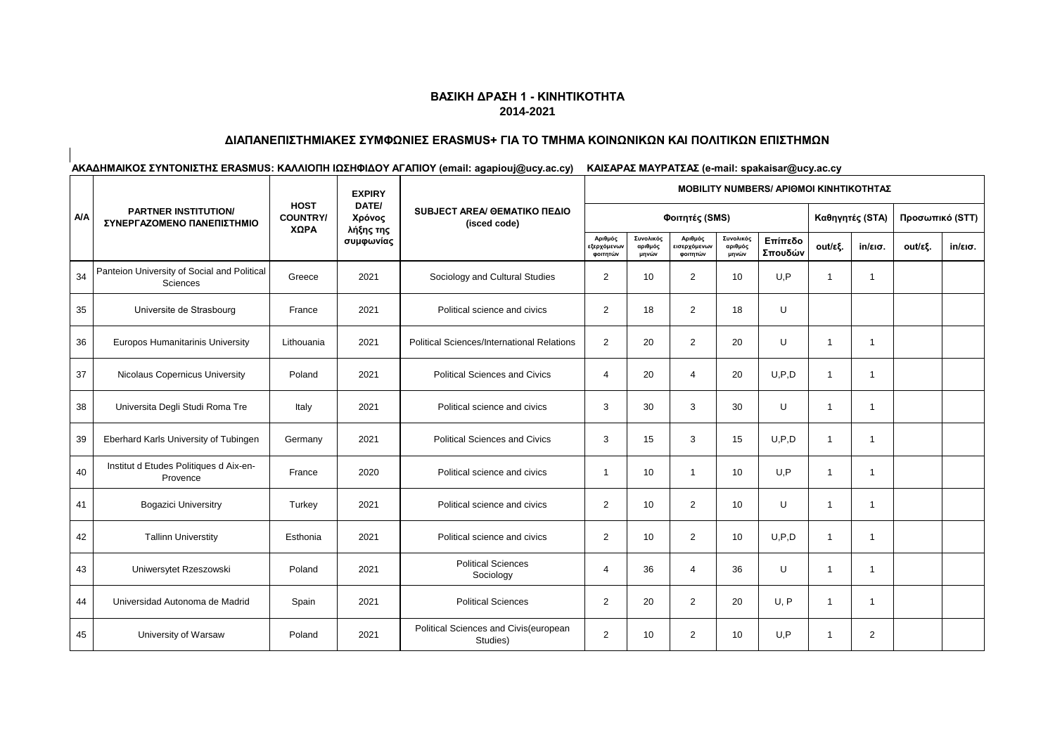### **ΔΙΑΠΑΝΕΠΙΣΤΗΜΙΑΚΕΣ ΣΥΜΦΩΝΙΕΣ ERASMUS+ ΓΙΑ ΤΟ ΤΜΗΜΑ ΚΟΙΝΩΝΙΚΩΝ ΚΑΙ ΠΟΛΙΤΙΚΩΝ ΕΠΙΣΤΗΜΩΝ**

|            |                                                           |                                        | <b>EXPIRY</b>                |                                                   |                                           |                               |                                     |                               | <b>MOBILITY NUMBERS/ APIOMOI KINHTIKOTHTAΣ</b> |                |                   |                 |                   |  |
|------------|-----------------------------------------------------------|----------------------------------------|------------------------------|---------------------------------------------------|-------------------------------------------|-------------------------------|-------------------------------------|-------------------------------|------------------------------------------------|----------------|-------------------|-----------------|-------------------|--|
| <b>A/A</b> | <b>PARTNER INSTITUTION/</b><br>ΣΥΝΕΡΓΑΖΟΜΕΝΟ ΠΑΝΕΠΙΣΤΗΜΙΟ | <b>HOST</b><br><b>COUNTRY/</b><br>ΧΩΡΑ | DATE/<br>Χρόνος<br>λήξης της | SUBJECT AREA/ GEMATIKO ΠΕΔΙΟ<br>(isced code)      |                                           |                               | Φοιτητές (SMS)                      |                               |                                                |                | Καθηγητές (STA)   | Προσωπικό (STT) |                   |  |
|            |                                                           |                                        | συμφωνίας                    |                                                   | Αριθμός<br><b>εξερχόμενων</b><br>φοιτητών | Συνολικός<br>αριθμός<br>μηνών | Αριθμός<br>εισερχόμενων<br>φοιτητών | Συνολικός<br>αριθμός<br>μηνών | Επίπεδο<br>Σπουδών                             | out/εξ.        | $in/\epsilon$ ισ. | out/εξ.         | $in/\epsilon$ ισ. |  |
| 34         | Panteion University of Social and Political<br>Sciences   | Greece                                 | 2021                         | Sociology and Cultural Studies                    | $\overline{2}$                            | 10                            | $\overline{2}$                      | 10                            | U.P                                            | $\overline{1}$ | $\overline{1}$    |                 |                   |  |
| 35         | Universite de Strasbourg                                  | France                                 | 2021                         | Political science and civics                      | 2                                         | 18                            | $\overline{2}$                      | 18                            | U                                              |                |                   |                 |                   |  |
| 36         | Europos Humanitarinis University                          | Lithouania                             | 2021                         | <b>Political Sciences/International Relations</b> | 2                                         | 20                            | $\overline{2}$                      | 20                            | U                                              | $\overline{1}$ | $\overline{1}$    |                 |                   |  |
| 37         | Nicolaus Copernicus University                            | Poland                                 | 2021                         | <b>Political Sciences and Civics</b>              | $\overline{4}$                            | 20                            | 4                                   | 20                            | U.P.D                                          | $\overline{1}$ | $\overline{1}$    |                 |                   |  |
| 38         | Universita Degli Studi Roma Tre                           | Italy                                  | 2021                         | Political science and civics                      | 3                                         | 30                            | 3                                   | 30                            | U                                              | $\overline{1}$ | -1                |                 |                   |  |
| 39         | Eberhard Karls University of Tubingen                     | Germany                                | 2021                         | <b>Political Sciences and Civics</b>              | 3                                         | 15                            | 3                                   | 15                            | U.P.D                                          | $\overline{1}$ | $\overline{1}$    |                 |                   |  |
| 40         | Institut d Etudes Politiques d Aix-en-<br>Provence        | France                                 | 2020                         | Political science and civics                      | $\mathbf 1$                               | 10                            | -1                                  | 10                            | U.P                                            | $\overline{1}$ | $\overline{1}$    |                 |                   |  |
| 41         | <b>Bogazici Universitry</b>                               | Turkey                                 | 2021                         | Political science and civics                      | 2                                         | 10                            | $\overline{2}$                      | 10                            | U                                              | $\overline{1}$ | $\overline{1}$    |                 |                   |  |
| 42         | <b>Tallinn Universtity</b>                                | Esthonia                               | 2021                         | Political science and civics                      | $\overline{2}$                            | 10                            | $\overline{2}$                      | 10                            | U.P.D                                          | $\overline{1}$ | $\overline{1}$    |                 |                   |  |
| 43         | Uniwersytet Rzeszowski                                    | Poland                                 | 2021                         | <b>Political Sciences</b><br>Sociology            | 4                                         | 36                            | 4                                   | 36                            | U                                              | $\overline{1}$ | $\overline{1}$    |                 |                   |  |
| 44         | Universidad Autonoma de Madrid                            | Spain                                  | 2021                         | <b>Political Sciences</b>                         | 2                                         | 20                            | $\overline{2}$                      | 20                            | U.P                                            | $\overline{1}$ | $\overline{1}$    |                 |                   |  |
| 45         | University of Warsaw                                      | Poland                                 | 2021                         | Political Sciences and Civis(european<br>Studies) | $\overline{2}$                            | 10                            | $\overline{2}$                      | 10                            | U,P                                            | $\overline{1}$ | $\overline{2}$    |                 |                   |  |